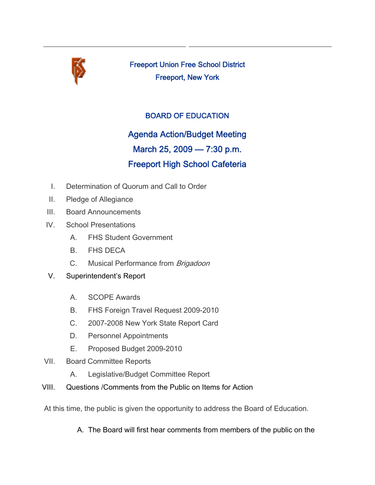

Freeport Union Free School District Freeport, New York

### BOARD OF EDUCATION

# Agenda Action/Budget Meeting

## March 25, 2009 — 7:30 p.m.

## Freeport High School Cafeteria

- I. Determination of Quorum and Call to Order
- II. Pledge of Allegiance
- III. Board Announcements
- IV. School Presentations
	- A. FHS Student Government
	- B. FHS DECA
	- C. Musical Performance from Brigadoon
- V. Superintendent's Report
	- A. SCOPE Awards
	- B. FHS Foreign Travel Request 2009-2010
	- C. 2007-2008 New York State Report Card
	- D. Personnel Appointments
	- E. Proposed Budget 2009-2010
- VII. Board Committee Reports
	- A. Legislative/Budget Committee Report
- VIII. Questions /Comments from the Public on Items for Action

At this time, the public is given the opportunity to address the Board of Education.

A. The Board will first hear comments from members of the public on the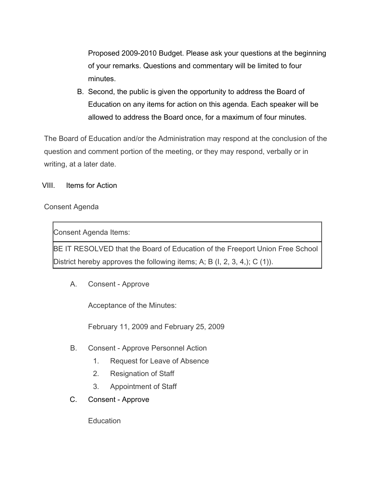Proposed 2009-2010 Budget. Please ask your questions at the beginning of your remarks. Questions and commentary will be limited to four minutes.

B. Second, the public is given the opportunity to address the Board of Education on any items for action on this agenda. Each speaker will be allowed to address the Board once, for a maximum of four minutes.

The Board of Education and/or the Administration may respond at the conclusion of the question and comment portion of the meeting, or they may respond, verbally or in writing, at a later date.

VIII. Items for Action

#### Consent Agenda

Consent Agenda Items:

BE IT RESOLVED that the Board of Education of the Freeport Union Free School District hereby approves the following items; A; B (I, 2, 3, 4,); C (1)).

A. Consent - Approve

Acceptance of the Minutes:

February 11, 2009 and February 25, 2009

- B. Consent Approve Personnel Action
	- 1. Request for Leave of Absence
	- 2. Resignation of Staff
	- 3. Appointment of Staff
- C. Consent Approve

**Education**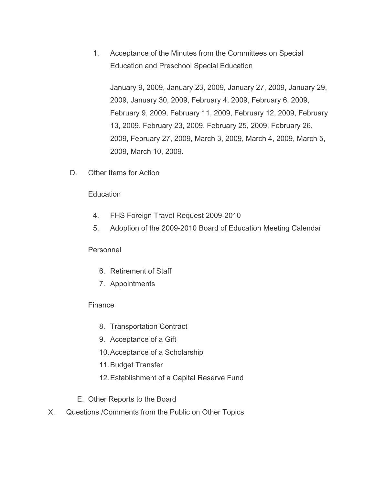1. Acceptance of the Minutes from the Committees on Special Education and Preschool Special Education

January 9, 2009, January 23, 2009, January 27, 2009, January 29, 2009, January 30, 2009, February 4, 2009, February 6, 2009, February 9, 2009, February 11, 2009, February 12, 2009, February 13, 2009, February 23, 2009, February 25, 2009, February 26, 2009, February 27, 2009, March 3, 2009, March 4, 2009, March 5, 2009, March 10, 2009.

D. Other Items for Action

#### **Education**

- 4. FHS Foreign Travel Request 2009-2010
- 5. Adoption of the 2009-2010 Board of Education Meeting Calendar

#### Personnel

- 6. Retirement of Staff
- 7. Appointments

#### **Finance**

- 8. Transportation Contract
- 9. Acceptance of a Gift
- 10.Acceptance of a Scholarship
- 11.Budget Transfer
- 12.Establishment of a Capital Reserve Fund
- E. Other Reports to the Board
- X. Questions /Comments from the Public on Other Topics